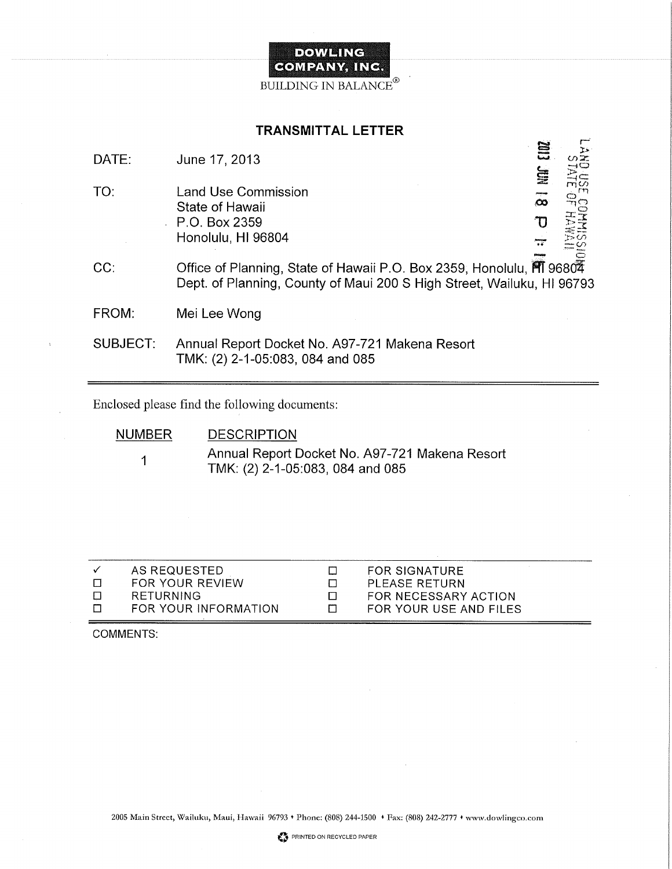

### TRANSMITTAL LETTER

| DATE:    | June 17, 2013                                                                                                                                    | 旨<br>$\Xi$              |  |
|----------|--------------------------------------------------------------------------------------------------------------------------------------------------|-------------------------|--|
| TO:      | Land Use Commission<br>State of Hawaii<br>$\cdot$ P.O. Box 2359<br>Honolulu, HI 96804                                                            | $\overline{\mathbf{z}}$ |  |
| CC:      | Office of Planning, State of Hawaii P.O. Box 2359, Honolulu, FII 96804<br>Dept. of Planning, County of Maui 200 S High Street, Wailuku, HI 96793 |                         |  |
| FROM:    | Mei Lee Wong                                                                                                                                     |                         |  |
| SUBJECT: | Annual Report Docket No. A97-721 Makena Resort<br>TMK: (2) 2-1-05:083, 084 and 085                                                               |                         |  |

Enclosed please find the following documents:

NUMBER 1 **DESCRIPTION** Annual Report Docket No. A97-721 Makena Resort TMK: (2) 2-1-05:083, 084 and 085

| AS REQUESTED<br><b>FOR SIGNATURE</b><br>$\checkmark$<br>□ |  |
|-----------------------------------------------------------|--|
| FOR YOUR REVIEW<br>PLEASE RETURN                          |  |
| RETURNING<br>FOR NECESSARY ACTION<br><b>n</b><br>П        |  |
| FOR YOUR INFORMATION<br>FOR YOUR USE AND FILES<br>П       |  |

COMMENTS: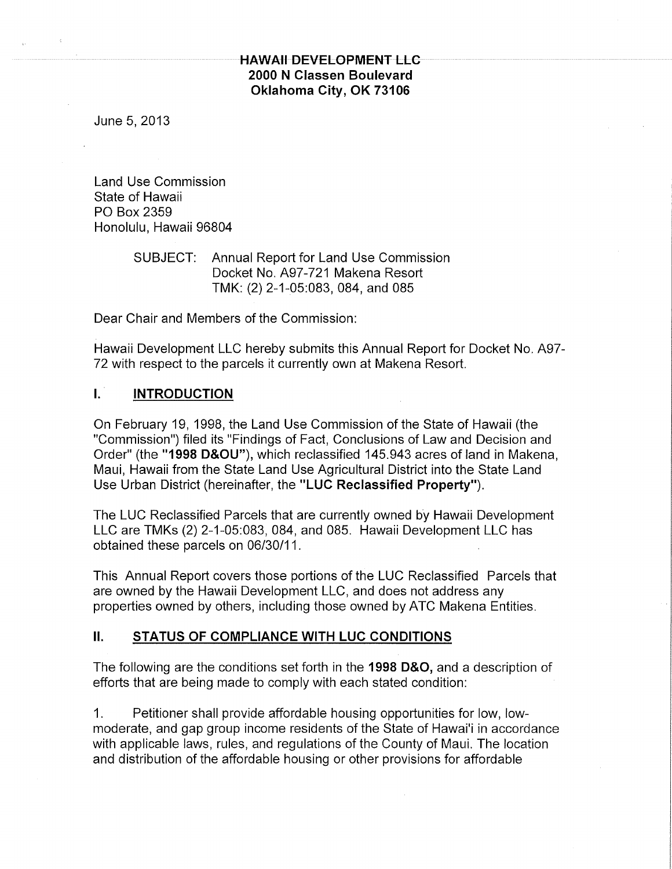# HAWAII DEVELOPMENT LLC 2000 N Classen Boulevard Oklahoma City, OK 73106

June 5, 2013

Land Use Commission State of Hawaii PO Box 2359 Honolulu, Hawaii 96804

## SUBJECT: Annual Report for Land Use Commission Docket No. A97-721 Makena Resort TMK: (2) 2-1-05:083, 084, and 085

Dear Chair and Members of the Commission:

Hawaii Development LLC hereby submits this Annual Report for Docket No. A97- 72 with respect to the parcels it currently own at Makena Resort.

## I. INTRODUCTION

On February 19, 1998, the Land Use Commission of the State of Hawaii (the "Commission") filed its "Findings of Fact, Conclusions of Law and Decision and Order" (the "1998 D&OU"), which reclassified 145.943 acres of land in Makena, Maui, Hawaii from the State Land Use Agricultural District into the State Land Use Urban District (hereinafter, the "LUC Reclassified Property").

The LUC Reclassified Parcels that are currently owned by Hawaii Development LLC are TMKs (2) 2-1-05:083, 084, and 085. Hawaii Development LLC has obtained these parcels on 06/30/11.

This Annual Report covers those portions of the LUC Reclassified Parcels that are owned by the Hawaii Development LLC, and does not address any properties owned by others, including those owned by ATC Makena Entities.

### II. STATUS OF COMPLIANCE WITH LUC CONDITIONS

The following are the conditions set forth in the 1998 D&O, and a description of efforts that are being made to comply with each stated condition:

1. Petitioner shall provide affordable housing opportunities for low, lowmoderate, and gap group income residents of the State of Hawai'i in accordance with applicable laws, rules, and regulations of the County of Maui. The location and distribution of the affordable housing or other provisions for affordable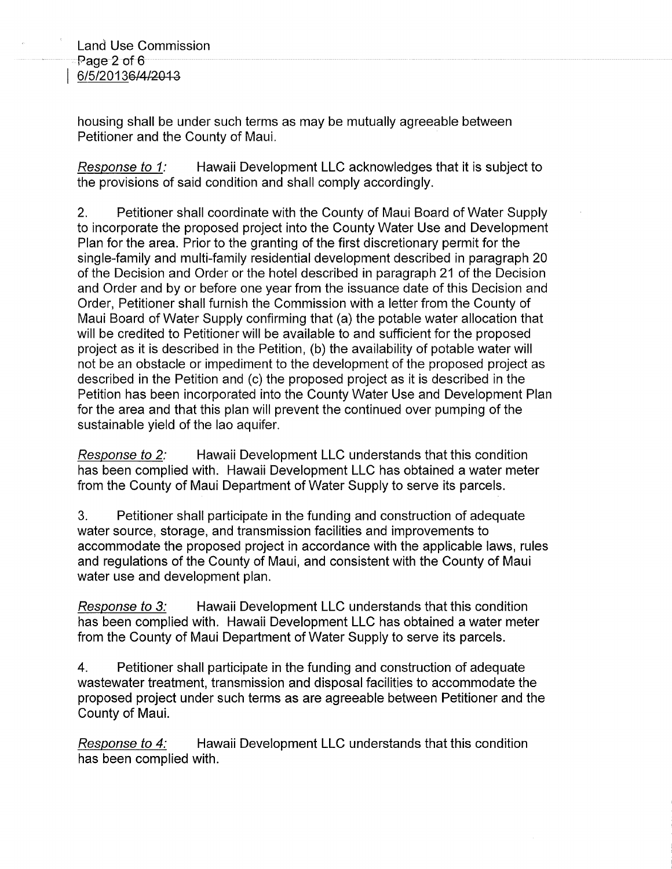housing shall be under such terms as may be mutually agreeable between Petitioner and the County of Maui.

Response to 1: Hawaii Development LLC acknowledges that it is subject to the provisions of said condition and shall comply accordingly.

2. Petitioner shall coordinate with the County of Maui Board of Water Supply to incorporate the proposed project into the County Water Use and Development Plan for the area. Prior to the granting of the first discretionary permit for the single-family and multi-family residential development described in paragraph 20 of the Decision and Order or the hotel described in paragraph 21 of the Decision and Order and by or before one year from the issuance date of this Decision and Order, Petitioner shall furnish the Commission with a letter from the County of Maui Board of Water Supply confirming that (a) the potable water allocation that will be credited to Petitioner will be available to and sufficient for the proposed project as it is described in the Petition, (b) the availability of potable water will not be an obstacle or impediment to the development of the proposed project as described in the Petition and (c) the proposed project as it is described in the Petition has been incorporated into the County Water Use and Development Plan for the area and that this plan will prevent the continued over pumping of the sustainable yield of the lao aquifer.

Response to 2: Hawaii Development LLC understands that this condition has been complied with. Hawaii Development LLC has obtained a water meter from the County of Maui Department of Water Supply to serve its parcels.

3. Petitioner shall participate in the funding and construction of adequate water source, storage, and transmission facilities and improvements to accommodate the proposed project in accordance with the applicable laws, rules and regulations of the County of Maui, and consistent with the County of Maui water use and development plan.

Response to 3: Hawaii Development LLC understands that this condition has been complied with. Hawaii Development LLC has obtained a water meter from the County of Maui Department of Water Supply to serve its parcels.

4. Petitioner shall participate in the funding and construction of adequate wastewater treatment, transmission and disposal facilities to accommodate the proposed project under such terms as are agreeable between Petitioner and the County of Maui.

Response to 4: Hawaii Development LLC understands that this condition has been complied with.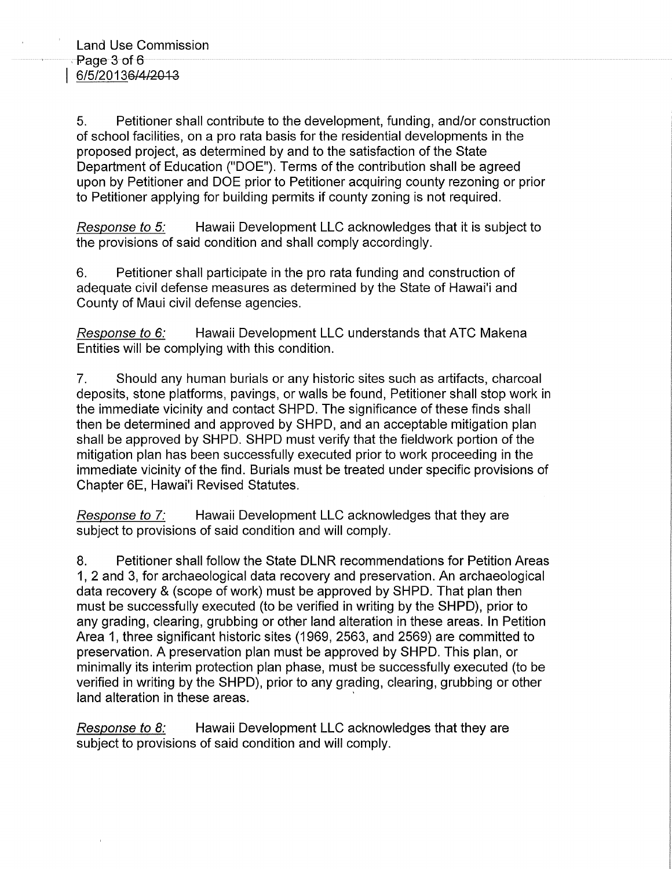5. Petitioner shall contribute to the development, funding, and/or construction of school facilities, on a pro rata basis for the residential developments in the proposed project, as determined by and to the satisfaction of the State Department of Education ("DOE"). Terms of the contribution shall be agreed upon by Petitioner and DOE prior to Petitioner acquiring county rezoning or prior to Petitioner applying for building permits if county zoning is not required.

Response to 5: Hawaii Development LLC acknowledges that it is subject to the provisions of said condition and shall comply accordingly.

6. Petitioner shall participate in the pro rata funding and construction of adequate civil defense measures as determined by the State of Hawai'i and County of Maui civil defense agencies.

Response to 6: Hawaii Development LLC understands that ATC Makena Entities will be complying with this condition.

7. Should any human burials or any historic sites such as artifacts, charcoal deposits, stone platforms, pavings, or walls be found, Petitioner shall stop work in the immediate vicinity and contact SHPD. The significance of these finds shall then be determined and approved by SHPD, and an acceptable mitigation plan shall be approved by SHPD. SHPD must verify that the fieldwork portion of the mitigation plan has been successfully executed prior to work proceeding in the immediate vicinity of the find. Burials must be treated under specific provisions of Chapter 6E, Hawai'i Revised Statutes.

Response to 7: Hawaii Development LLC acknowledges that they are subject to provisions of said condition and will comply.

8. Petitioner shall follow the State DLNR recommendations for Petition Areas 1, 2 and 3, for archaeological data recovery and preservation. An archaeological data recovery & (scope of work) must be approved by SHPD. That plan then must be successfully executed (to be verified in writing by the SHPD), prior to any grading, clearing, grubbing or other land alteration in these areas. In Petition Area 1, three significant historic sites (1969, 2563, and 2569) are committed to preservation. A preservation plan must be approved by SHPD. This plan, or minimally its interim protection plan phase, must be successfully executed (to be verified in writing by the SHPD), prior to any grading, clearing, grubbing or other land alteration in these areas.

Response to 8: Hawaii Development LLC acknowledges that they are subject to provisions of said condition and will comply.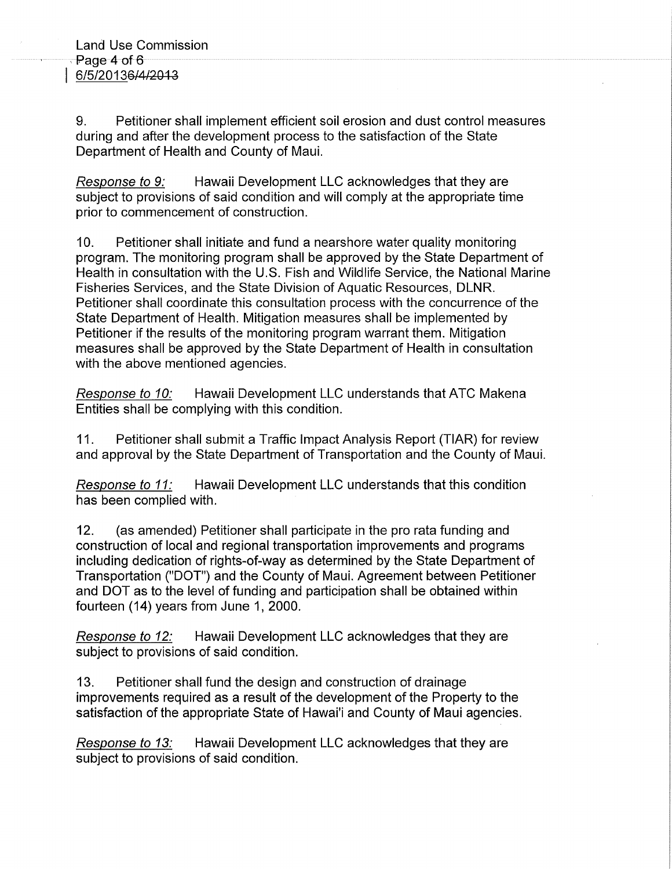9. Petitioner shall implement efficient soil erosion and dust control measures during and after the development process to the satisfaction of the State Department of Health and County of Maui.

Response to 9: Hawaii Development LLC acknowledges that they are subject to provisions of said condition and will comply at the appropriate time prior to commencement of construction.

10. Petitioner shall initiate and fund a nearshore water quality monitoring program. The monitoring program shall be approved by the State Department of Health in consultation with the U.S. Fish and Wildlife Service, the National Marine Fisheries Services, and the State Division of Aquatic Resources, DLNR. Petitioner shall coordinate this consultation process with the concurrence of the State Department of Health. Mitigation measures shall be implemented by Petitioner if the results of the monitoring program warrant them. Mitigation measures shall be approved by the State Department of Health in consultation with the above mentioned agencies.

Response to 10: Hawaii Development LLC understands that ATC Makena Entities shall be complying with this condition.

11. Petitioner shall submit a Traffic Impact Analysis Report (TIAR) for review and approval by the State Department of Transportation and the County of Maui.

Response to 11: Hawaii Development LLC understands that this condition has been complied with.

12. (as amended) Petitioner shall participate in the pro rata funding and construction of local and regional transportation improvements and programs including dedication of rights-of-way as determined by the State Department of Transportation ("DOT") and the County of Maui. Agreement between Petitioner and DOT as to the level of funding and participation shall be obtained within fourteen (14) years from June 1, 2000.

Response to 12: Hawaii Development LLC acknowledges that they are subject to provisions of said condition.

13. Petitioner shall fund the design and construction of drainage improvements required as a result of the development of the Property to the satisfaction of the appropriate State of Hawai'i and County of Maui agencies.

Response to 13: Hawaii Development LLC acknowledges that they are subject to provisions of said condition.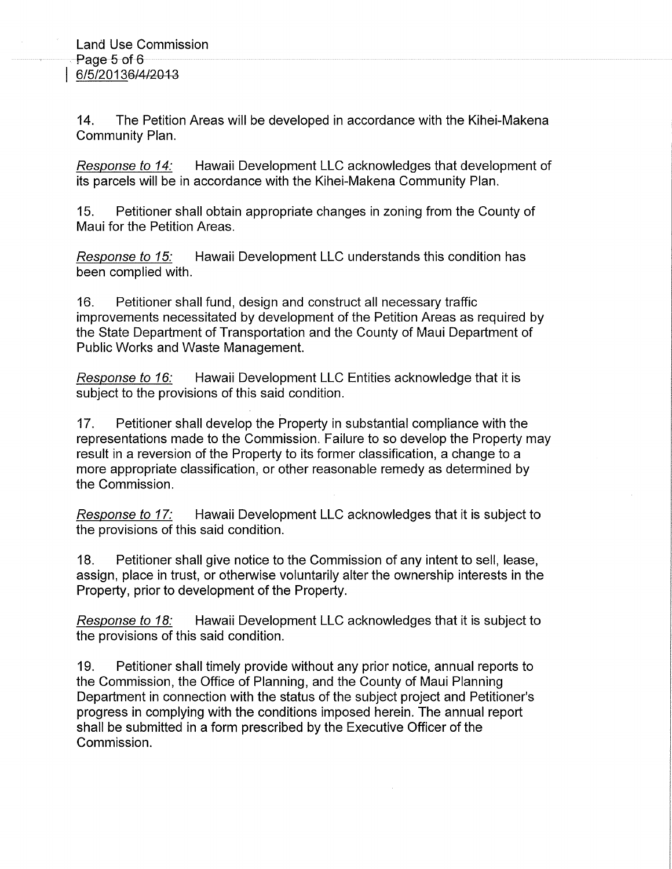14. The Petition Areas will be developed in accordance with the Kihei-Makena Community Plan.

Response to 14: Hawaii Development LLC acknowledges that development of its parcels will be in accordance with the Kihei-Makena Community Plan.

15. Petitioner shall obtain appropriate changes in zoning from the County of Maui for the Petition Areas.

Response to 15: Hawaii Development LLC understands this condition has been complied with.

16. Petitioner shall fund, design and construct all necessary traffic improvements necessitated by development of the Petition Areas as required by the State Department of Transportation and the County of Maui Department of Public Works and Waste Management.

Response to 16: Hawaii Development LLC Entities acknowledge that it is subject to the provisions of this said condition.

17. Petitioner shall develop the Property in substantial compliance with the representations made to the Commission. Failure to so develop the Property may result in a reversion of the Property to its former classification, a change to a more appropriate classification, or other reasonable remedy as determined by the Commission.

Response to 17: Hawaii Development LLC acknowledges that it is subject to the provisions of this said condition.

18. Petitioner shall give notice to the Commission of any intent to sell, lease, assign, place in trust, or otherwise voluntarily alter the ownership interests in the Property, prior to development of the Property.

Response to 18: Hawaii Development LLC acknowledges that it is subject to the provisions of this said condition.

19. Petitioner shall timely provide without any prior notice, annual reports to the Commission, the Office of Planning, and the County of Maui Planning Department in connection with the status of the subject project and Petitioner's progress in complying with the conditions imposed herein. The annual report shall be submitted in a form prescribed by the Executive Officer of the Commission.